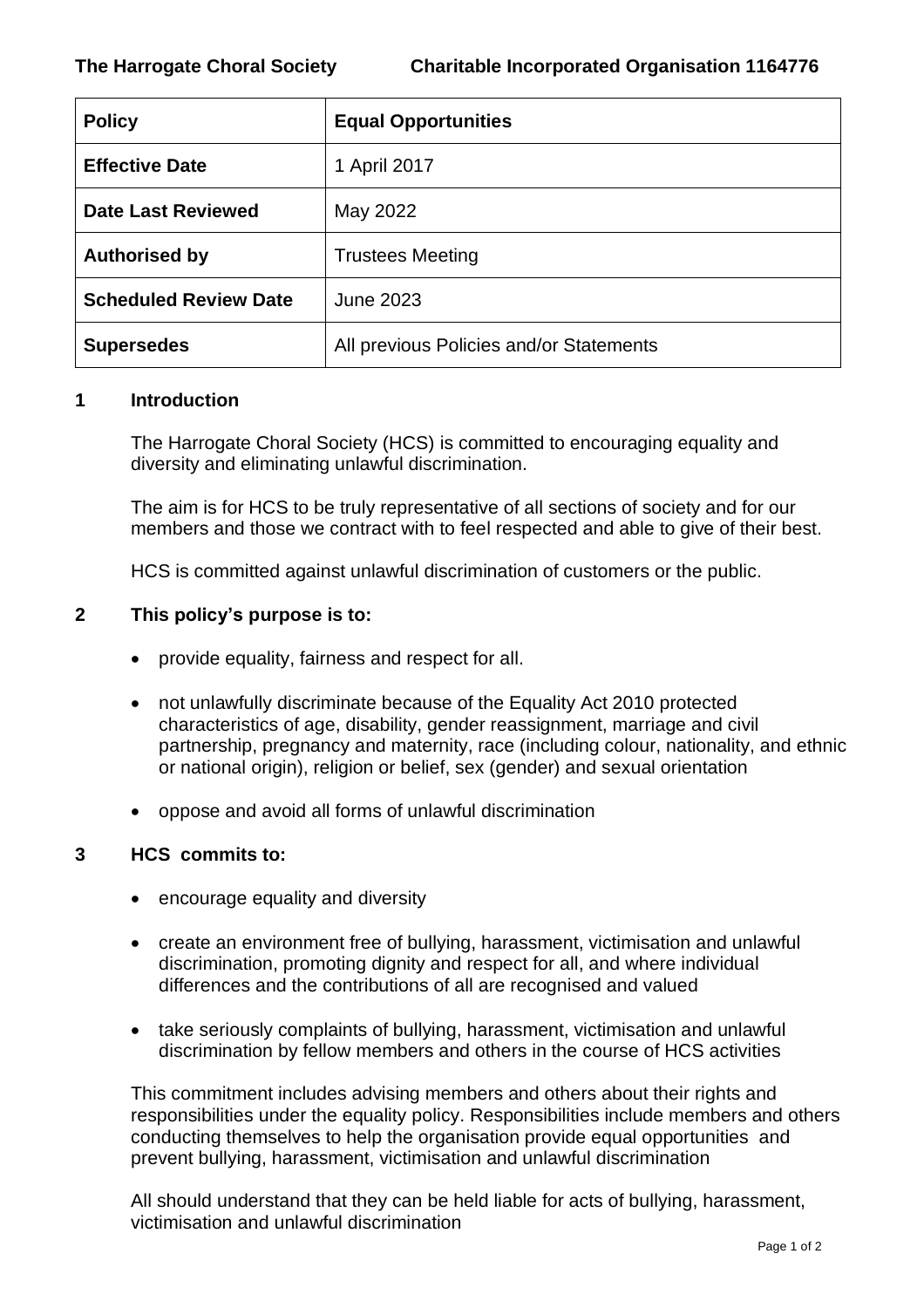| <b>Policy</b>                | <b>Equal Opportunities</b>              |
|------------------------------|-----------------------------------------|
| <b>Effective Date</b>        | 1 April 2017                            |
| <b>Date Last Reviewed</b>    | May 2022                                |
| <b>Authorised by</b>         | <b>Trustees Meeting</b>                 |
| <b>Scheduled Review Date</b> | June 2023                               |
| <b>Supersedes</b>            | All previous Policies and/or Statements |

## **1 Introduction**

The Harrogate Choral Society (HCS) is committed to encouraging equality and diversity and eliminating unlawful discrimination.

The aim is for HCS to be truly representative of all sections of society and for our members and those we contract with to feel respected and able to give of their best.

HCS is committed against unlawful discrimination of customers or the public.

## **2 This policy's purpose is to:**

- provide equality, fairness and respect for all.
- not unlawfully discriminate because of the Equality Act 2010 protected characteristics of age, disability, gender reassignment, marriage and civil partnership, pregnancy and maternity, race (including colour, nationality, and ethnic or national origin), religion or belief, sex (gender) and sexual orientation
- oppose and avoid all forms of unlawful discrimination

### **3 HCS commits to:**

- encourage equality and diversity
- create an environment free of bullying, harassment, victimisation and unlawful discrimination, promoting dignity and respect for all, and where individual differences and the contributions of all are recognised and valued
- take seriously complaints of bullying, harassment, victimisation and unlawful discrimination by fellow members and others in the course of HCS activities

This commitment includes advising members and others about their rights and responsibilities under the equality policy. Responsibilities include members and others conducting themselves to help the organisation provide equal opportunities and prevent bullying, harassment, victimisation and unlawful discrimination

All should understand that they can be held liable for acts of bullying, harassment, victimisation and unlawful discrimination